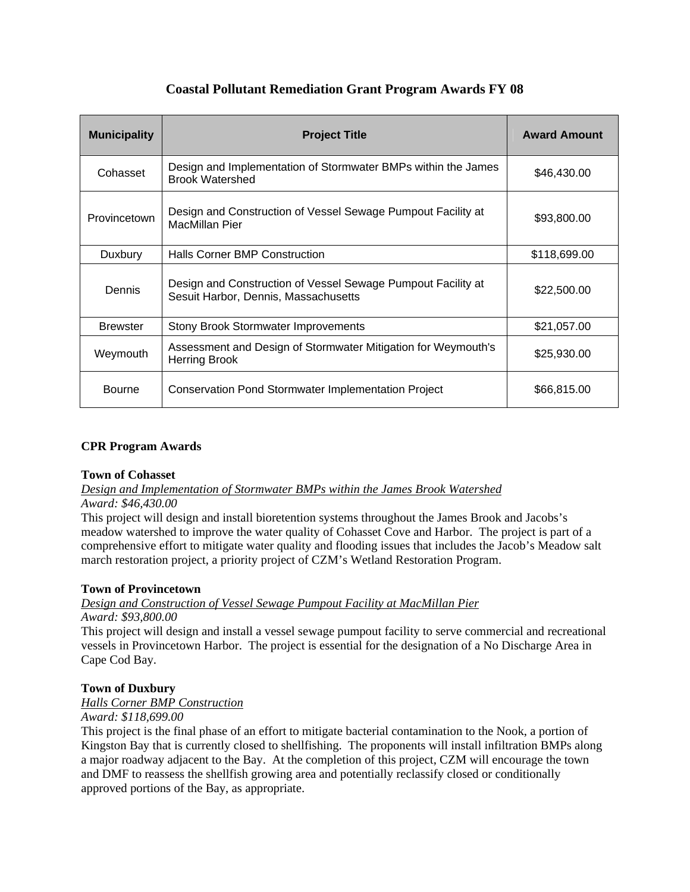| <b>Municipality</b> | <b>Project Title</b>                                                                                 | <b>Award Amount</b> |
|---------------------|------------------------------------------------------------------------------------------------------|---------------------|
| Cohasset            | Design and Implementation of Stormwater BMPs within the James<br><b>Brook Watershed</b>              | \$46,430.00         |
| Provincetown        | Design and Construction of Vessel Sewage Pumpout Facility at<br>MacMillan Pier                       | \$93,800.00         |
| Duxbury             | <b>Halls Corner BMP Construction</b>                                                                 | \$118,699.00        |
| Dennis              | Design and Construction of Vessel Sewage Pumpout Facility at<br>Sesuit Harbor, Dennis, Massachusetts | \$22,500.00         |
| <b>Brewster</b>     | <b>Stony Brook Stormwater Improvements</b>                                                           | \$21,057.00         |
| Weymouth            | Assessment and Design of Stormwater Mitigation for Weymouth's<br><b>Herring Brook</b>                | \$25,930.00         |
| <b>Bourne</b>       | <b>Conservation Pond Stormwater Implementation Project</b>                                           | \$66,815.00         |

# **Coastal Pollutant Remediation Grant Program Awards FY 08**

# **CPR Program Awards**

## **Town of Cohasset**

*Design and Implementation of Stormwater BMPs within the James Brook Watershed Award: \$46,430.00* 

This project will design and install bioretention systems throughout the James Brook and Jacobs's meadow watershed to improve the water quality of Cohasset Cove and Harbor. The project is part of a comprehensive effort to mitigate water quality and flooding issues that includes the Jacob's Meadow salt march restoration project, a priority project of CZM's Wetland Restoration Program.

## **Town of Provincetown**

## *Design and Construction of Vessel Sewage Pumpout Facility at MacMillan Pier*

*Award: \$93,800.00* 

This project will design and install a vessel sewage pumpout facility to serve commercial and recreational vessels in Provincetown Harbor. The project is essential for the designation of a No Discharge Area in Cape Cod Bay.

## **Town of Duxbury**

*Halls Corner BMP Construction*

*Award: \$118,699.00* 

This project is the final phase of an effort to mitigate bacterial contamination to the Nook, a portion of Kingston Bay that is currently closed to shellfishing. The proponents will install infiltration BMPs along a major roadway adjacent to the Bay. At the completion of this project, CZM will encourage the town and DMF to reassess the shellfish growing area and potentially reclassify closed or conditionally approved portions of the Bay, as appropriate.